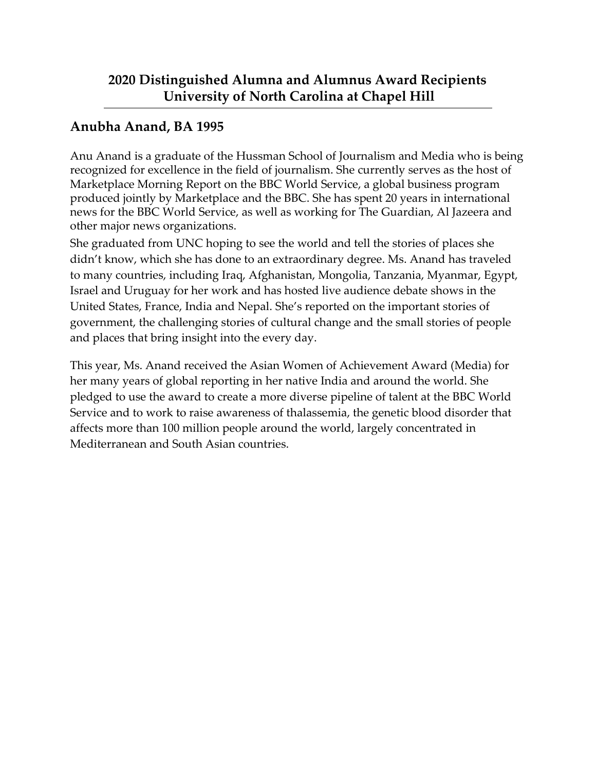### **Anubha Anand, BA 1995**

Anu Anand is a graduate of the Hussman School of Journalism and Media who is being recognized for excellence in the field of journalism. She currently serves as the host of Marketplace Morning Report on the BBC World Service, a global business program produced jointly by Marketplace and the BBC. She has spent 20 years in international news for the BBC World Service, as well as working for The Guardian, Al Jazeera and other major news organizations.

She graduated from UNC hoping to see the world and tell the stories of places she didn't know, which she has done to an extraordinary degree. Ms. Anand has traveled to many countries, including Iraq, Afghanistan, Mongolia, Tanzania, Myanmar, Egypt, Israel and Uruguay for her work and has hosted live audience debate shows in the United States, France, India and Nepal. She's reported on the important stories of government, the challenging stories of cultural change and the small stories of people and places that bring insight into the every day.

This year, Ms. Anand received the Asian Women of Achievement Award (Media) for her many years of global reporting in her native India and around the world. She pledged to use the award to create a more diverse pipeline of talent at the BBC World Service and to work to raise awareness of thalassemia, the genetic blood disorder that affects more than 100 million people around the world, largely concentrated in Mediterranean and South Asian countries.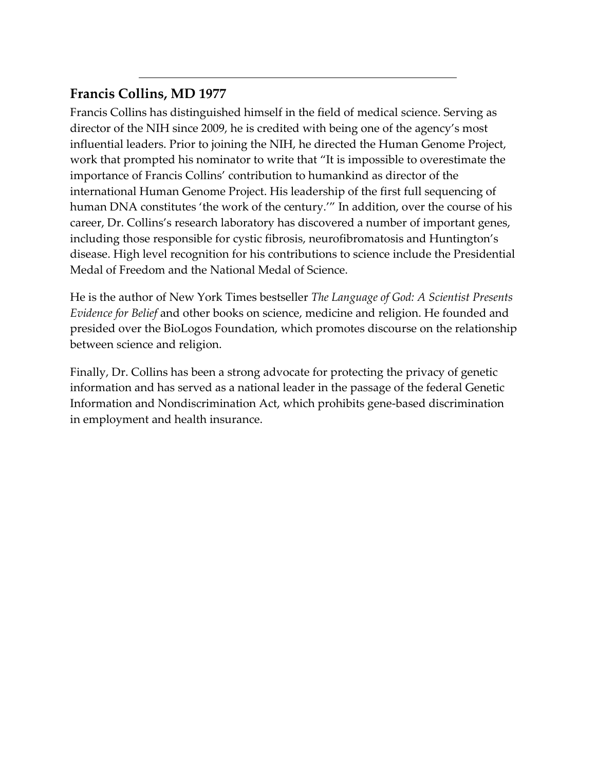### **Francis Collins, MD 1977**

Francis Collins has distinguished himself in the field of medical science. Serving as director of the NIH since 2009, he is credited with being one of the agency's most influential leaders. Prior to joining the NIH, he directed the Human Genome Project, work that prompted his nominator to write that "It is impossible to overestimate the importance of Francis Collins' contribution to humankind as director of the international Human Genome Project. His leadership of the first full sequencing of human DNA constitutes 'the work of the century.'" In addition, over the course of his career, Dr. Collins's research laboratory has discovered a number of important genes, including those responsible for cystic fibrosis, neurofibromatosis and Huntington's disease. High level recognition for his contributions to science include the Presidential Medal of Freedom and the National Medal of Science.

He is the author of New York Times bestseller *The Language of God: A Scientist Presents Evidence for Belief* and other books on science, medicine and religion. He founded and presided over the BioLogos Foundation, which promotes discourse on the relationship between science and religion.

Finally, Dr. Collins has been a strong advocate for protecting the privacy of genetic information and has served as a national leader in the passage of the federal Genetic Information and Nondiscrimination Act, which prohibits gene-based discrimination in employment and health insurance.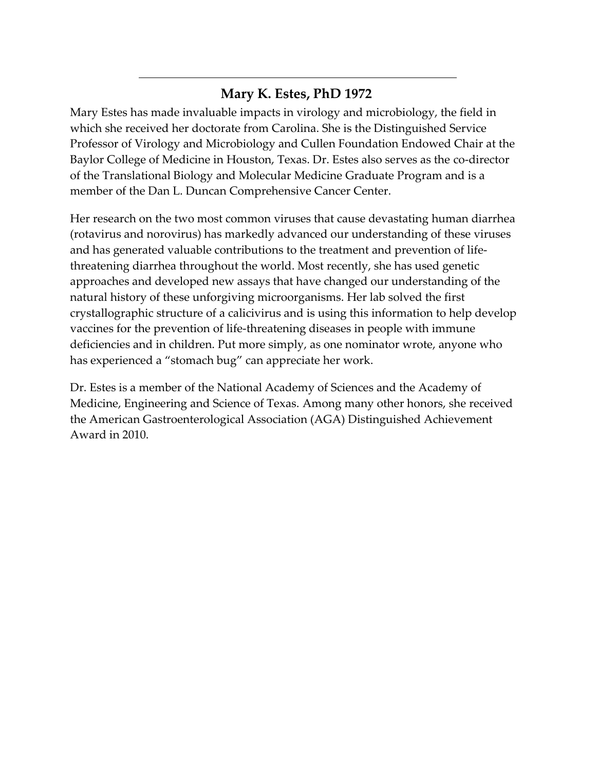### **Mary K. Estes, PhD 1972**

Mary Estes has made invaluable impacts in virology and microbiology, the field in which she received her doctorate from Carolina. She is the Distinguished Service Professor of Virology and Microbiology and Cullen Foundation Endowed Chair at the Baylor College of Medicine in Houston, Texas. Dr. Estes also serves as the co-director of the Translational Biology and Molecular Medicine Graduate Program and is a member of the Dan L. Duncan Comprehensive Cancer Center.

Her research on the two most common viruses that cause devastating human diarrhea (rotavirus and norovirus) has markedly advanced our understanding of these viruses and has generated valuable contributions to the treatment and prevention of lifethreatening diarrhea throughout the world. Most recently, she has used genetic approaches and developed new assays that have changed our understanding of the natural history of these unforgiving microorganisms. Her lab solved the first crystallographic structure of a calicivirus and is using this information to help develop vaccines for the prevention of life-threatening diseases in people with immune deficiencies and in children. Put more simply, as one nominator wrote, anyone who has experienced a "stomach bug" can appreciate her work.

Dr. Estes is a member of the National Academy of Sciences and the Academy of Medicine, Engineering and Science of Texas. Among many other honors, she received the American Gastroenterological Association (AGA) Distinguished Achievement Award in 2010.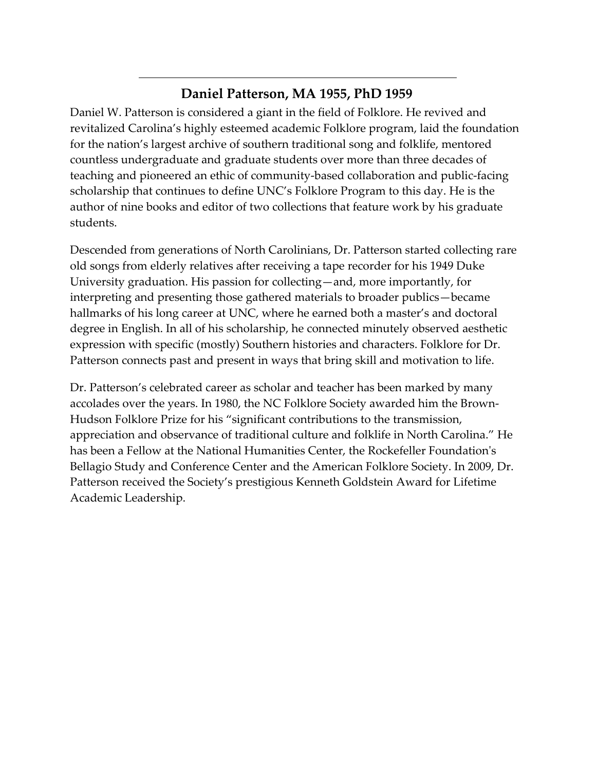## **Daniel Patterson, MA 1955, PhD 1959**

Daniel W. Patterson is considered a giant in the field of Folklore. He revived and revitalized Carolina's highly esteemed academic Folklore program, laid the foundation for the nation's largest archive of southern traditional song and folklife, mentored countless undergraduate and graduate students over more than three decades of teaching and pioneered an ethic of community-based collaboration and public-facing scholarship that continues to define UNC's Folklore Program to this day. He is the author of nine books and editor of two collections that feature work by his graduate students.

Descended from generations of North Carolinians, Dr. Patterson started collecting rare old songs from elderly relatives after receiving a tape recorder for his 1949 Duke University graduation. His passion for collecting—and, more importantly, for interpreting and presenting those gathered materials to broader publics—became hallmarks of his long career at UNC, where he earned both a master's and doctoral degree in English. In all of his scholarship, he connected minutely observed aesthetic expression with specific (mostly) Southern histories and characters. Folklore for Dr. Patterson connects past and present in ways that bring skill and motivation to life.

Dr. Patterson's celebrated career as scholar and teacher has been marked by many accolades over the years. In 1980, the NC Folklore Society awarded him the Brown-Hudson Folklore Prize for his "significant contributions to the transmission, appreciation and observance of traditional culture and folklife in North Carolina." He has been a Fellow at the National Humanities Center, the Rockefeller Foundation's Bellagio Study and Conference Center and the American Folklore Society. In 2009, Dr. Patterson received the Society's prestigious Kenneth Goldstein Award for Lifetime Academic Leadership.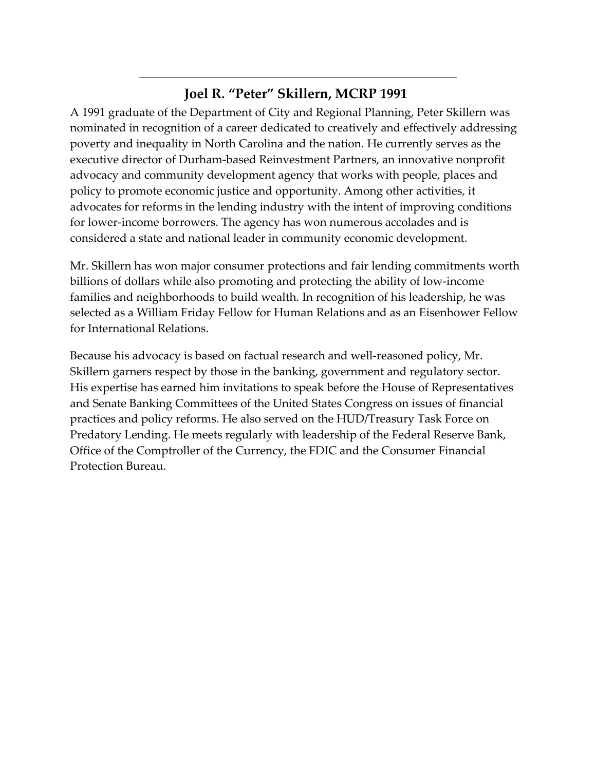### **Joel R. "Peter" Skillern, MCRP 1991**

A 1991 graduate of the Department of City and Regional Planning, Peter Skillern was nominated in recognition of a career dedicated to creatively and effectively addressing poverty and inequality in North Carolina and the nation. He currently serves as the executive director of Durham-based Reinvestment Partners, an innovative nonprofit advocacy and community development agency that works with people, places and policy to promote economic justice and opportunity. Among other activities, it advocates for reforms in the lending industry with the intent of improving conditions for lower-income borrowers. The agency has won numerous accolades and is considered a state and national leader in community economic development.

Mr. Skillern has won major consumer protections and fair lending commitments worth billions of dollars while also promoting and protecting the ability of low-income families and neighborhoods to build wealth. In recognition of his leadership, he was selected as a William Friday Fellow for Human Relations and as an Eisenhower Fellow for International Relations.

Because his advocacy is based on factual research and well-reasoned policy, Mr. Skillern garners respect by those in the banking, government and regulatory sector. His expertise has earned him invitations to speak before the House of Representatives and Senate Banking Committees of the United States Congress on issues of financial practices and policy reforms. He also served on the HUD/Treasury Task Force on Predatory Lending. He meets regularly with leadership of the Federal Reserve Bank, Office of the Comptroller of the Currency, the FDIC and the Consumer Financial Protection Bureau.